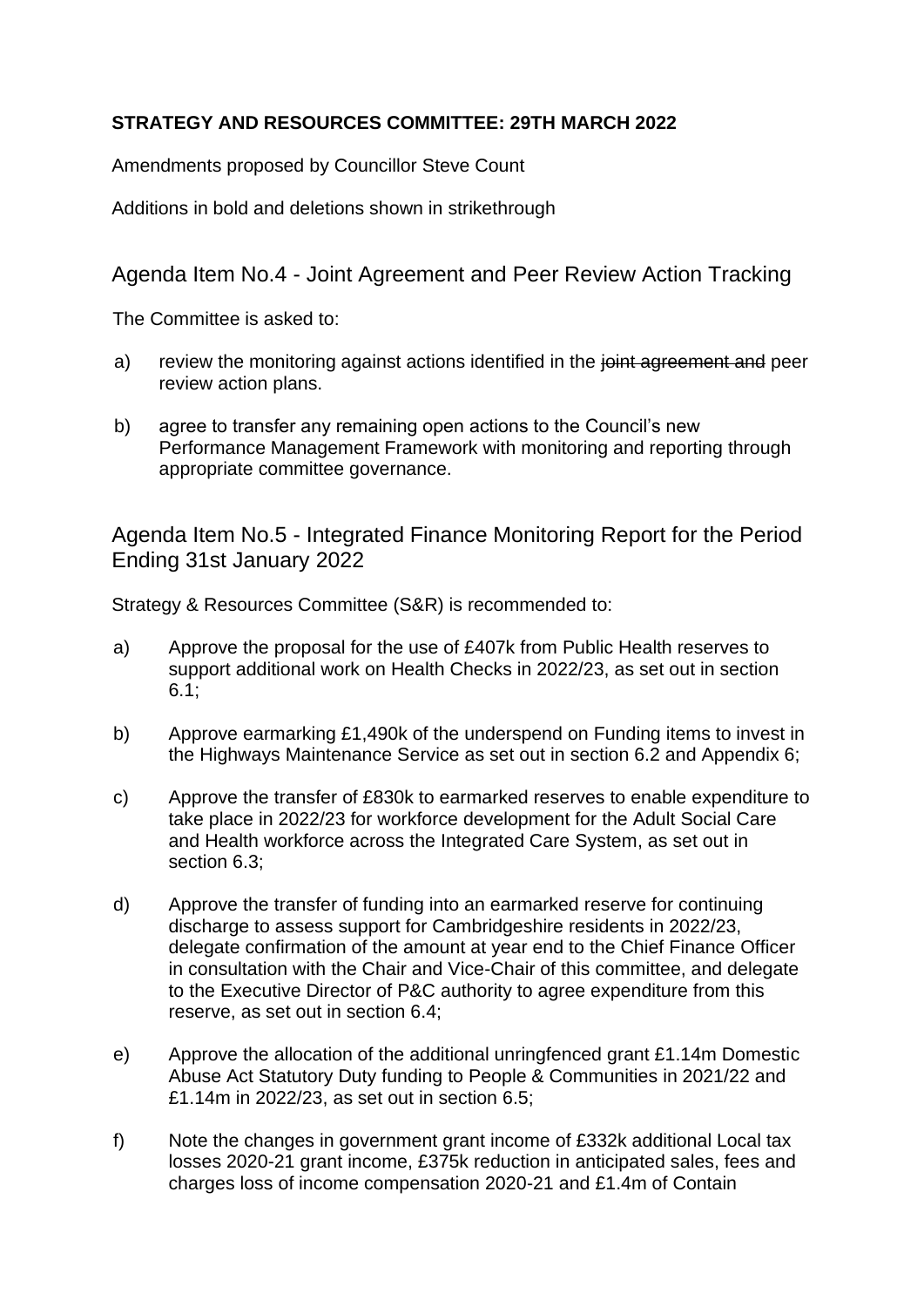## **STRATEGY AND RESOURCES COMMITTEE: 29TH MARCH 2022**

Amendments proposed by Councillor Steve Count

Additions in bold and deletions shown in strikethrough

## Agenda Item No.4 - Joint Agreement and Peer Review Action Tracking

The Committee is asked to:

- a) review the monitoring against actions identified in the joint agreement and peer review action plans.
- b) agree to transfer any remaining open actions to the Council's new Performance Management Framework with monitoring and reporting through appropriate committee governance.

Agenda Item No.5 - Integrated Finance Monitoring Report for the Period Ending 31st January 2022

Strategy & Resources Committee (S&R) is recommended to:

- a) Approve the proposal for the use of £407k from Public Health reserves to support additional work on Health Checks in 2022/23, as set out in section 6.1;
- b) Approve earmarking £1,490k of the underspend on Funding items to invest in the Highways Maintenance Service as set out in section 6.2 and Appendix 6;
- c) Approve the transfer of £830k to earmarked reserves to enable expenditure to take place in 2022/23 for workforce development for the Adult Social Care and Health workforce across the Integrated Care System, as set out in section 6.3;
- d) Approve the transfer of funding into an earmarked reserve for continuing discharge to assess support for Cambridgeshire residents in 2022/23, delegate confirmation of the amount at year end to the Chief Finance Officer in consultation with the Chair and Vice-Chair of this committee, and delegate to the Executive Director of P&C authority to agree expenditure from this reserve, as set out in section 6.4;
- e) Approve the allocation of the additional unringfenced grant £1.14m Domestic Abuse Act Statutory Duty funding to People & Communities in 2021/22 and £1.14m in 2022/23, as set out in section 6.5;
- f) Note the changes in government grant income of £332k additional Local tax losses 2020-21 grant income, £375k reduction in anticipated sales, fees and charges loss of income compensation 2020-21 and £1.4m of Contain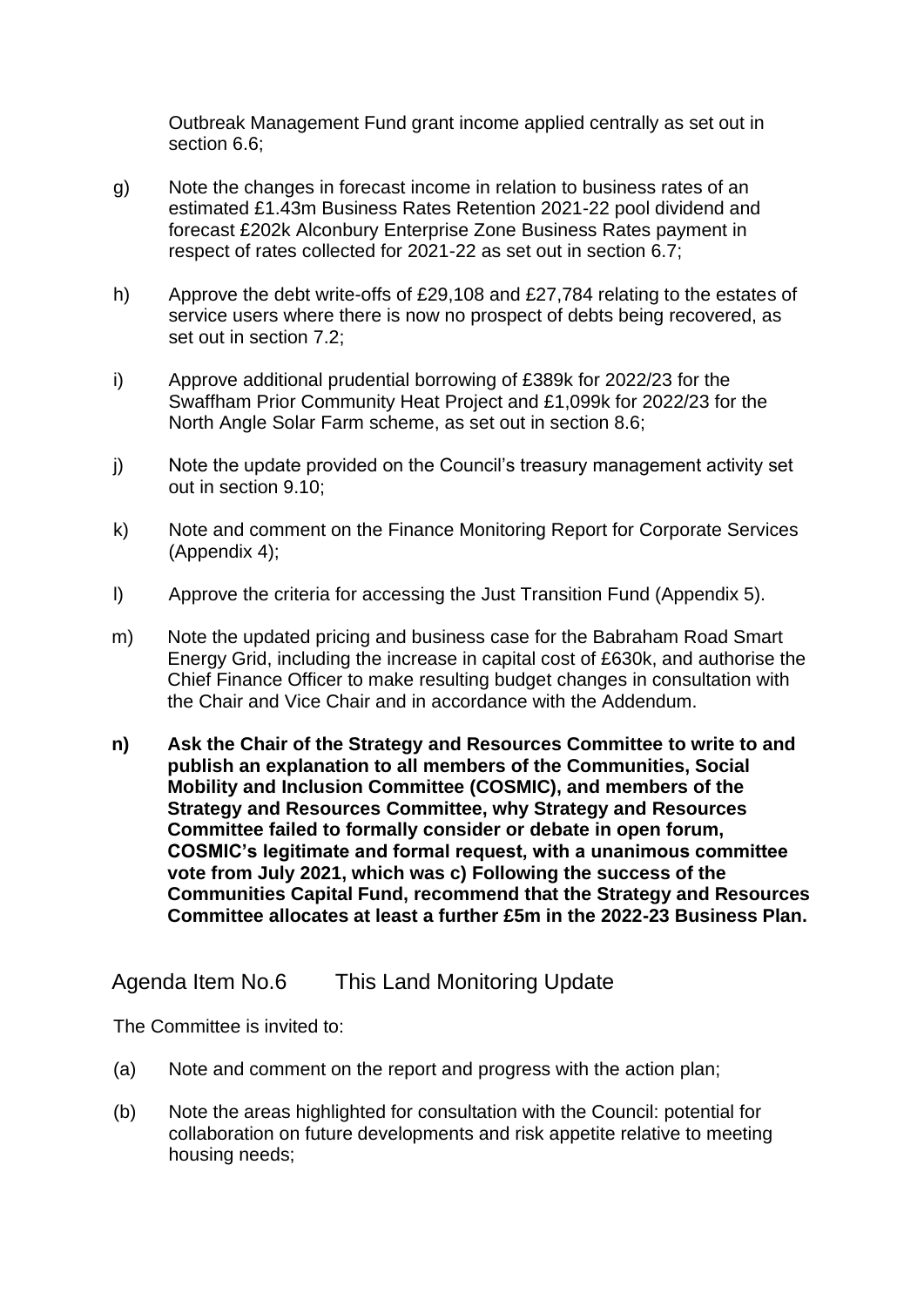Outbreak Management Fund grant income applied centrally as set out in section 6.6;

- g) Note the changes in forecast income in relation to business rates of an estimated £1.43m Business Rates Retention 2021-22 pool dividend and forecast £202k Alconbury Enterprise Zone Business Rates payment in respect of rates collected for 2021-22 as set out in section 6.7;
- h) Approve the debt write-offs of £29,108 and £27,784 relating to the estates of service users where there is now no prospect of debts being recovered, as set out in section 7.2;
- i) Approve additional prudential borrowing of £389k for 2022/23 for the Swaffham Prior Community Heat Project and £1,099k for 2022/23 for the North Angle Solar Farm scheme, as set out in section 8.6;
- j) Note the update provided on the Council's treasury management activity set out in section 9.10;
- k) Note and comment on the Finance Monitoring Report for Corporate Services (Appendix 4);
- l) Approve the criteria for accessing the Just Transition Fund (Appendix 5).
- m) Note the updated pricing and business case for the Babraham Road Smart Energy Grid, including the increase in capital cost of £630k, and authorise the Chief Finance Officer to make resulting budget changes in consultation with the Chair and Vice Chair and in accordance with the Addendum.
- **n) Ask the Chair of the Strategy and Resources Committee to write to and publish an explanation to all members of the Communities, Social Mobility and Inclusion Committee (COSMIC), and members of the Strategy and Resources Committee, why Strategy and Resources Committee failed to formally consider or debate in open forum, COSMIC's legitimate and formal request, with a unanimous committee vote from July 2021, which was c) Following the success of the Communities Capital Fund, recommend that the Strategy and Resources Committee allocates at least a further £5m in the 2022-23 Business Plan.**

## Agenda Item No.6 This Land Monitoring Update

The Committee is invited to:

- (a) Note and comment on the report and progress with the action plan;
- (b) Note the areas highlighted for consultation with the Council: potential for collaboration on future developments and risk appetite relative to meeting housing needs;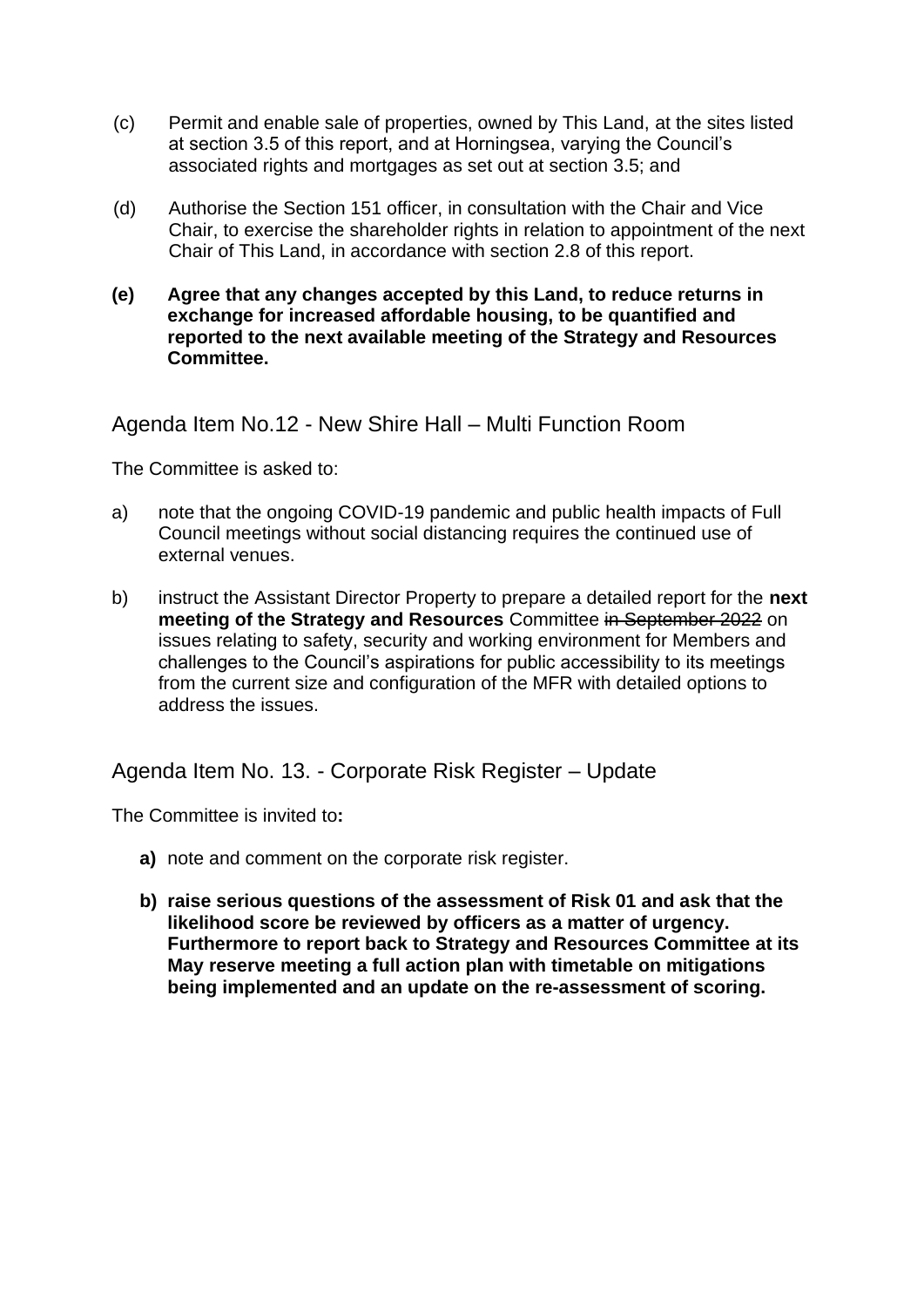- (c) Permit and enable sale of properties, owned by This Land, at the sites listed at section 3.5 of this report, and at Horningsea, varying the Council's associated rights and mortgages as set out at section 3.5; and
- (d) Authorise the Section 151 officer, in consultation with the Chair and Vice Chair, to exercise the shareholder rights in relation to appointment of the next Chair of This Land, in accordance with section 2.8 of this report.
- **(e) Agree that any changes accepted by this Land, to reduce returns in exchange for increased affordable housing, to be quantified and reported to the next available meeting of the Strategy and Resources Committee.**

Agenda Item No.12 - New Shire Hall – Multi Function Room

The Committee is asked to:

- a) note that the ongoing COVID-19 pandemic and public health impacts of Full Council meetings without social distancing requires the continued use of external venues.
- b) instruct the Assistant Director Property to prepare a detailed report for the **next meeting of the Strategy and Resources** Committee in September 2022 on issues relating to safety, security and working environment for Members and challenges to the Council's aspirations for public accessibility to its meetings from the current size and configuration of the MFR with detailed options to address the issues.

Agenda Item No. 13. - Corporate Risk Register – Update

The Committee is invited to**:**

- **a)** note and comment on the corporate risk register.
- **b) raise serious questions of the assessment of Risk 01 and ask that the likelihood score be reviewed by officers as a matter of urgency. Furthermore to report back to Strategy and Resources Committee at its May reserve meeting a full action plan with timetable on mitigations being implemented and an update on the re-assessment of scoring.**